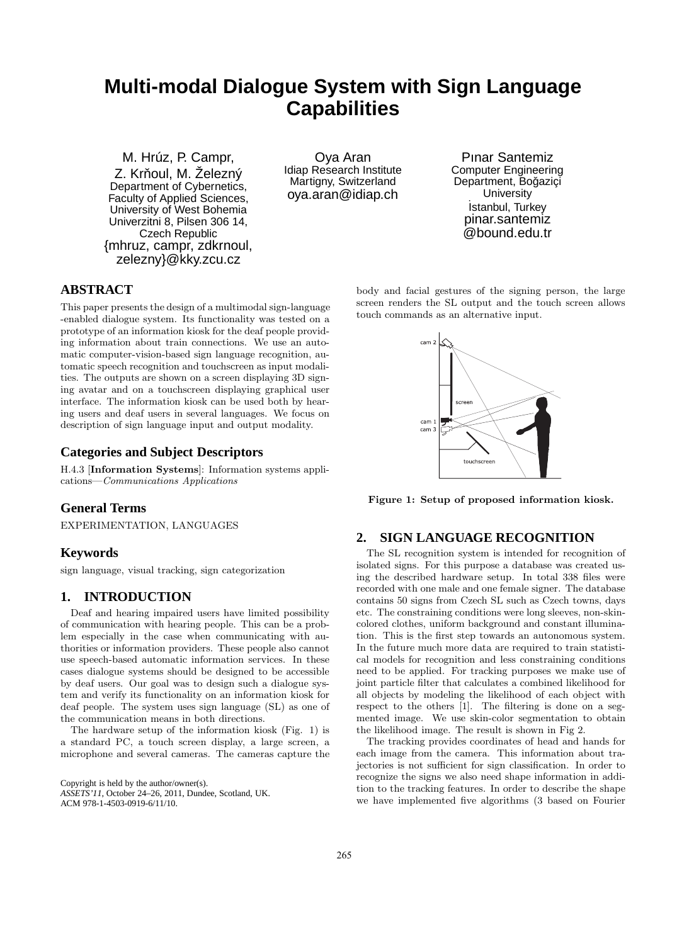# **Multi-modal Dialogue System with Sign Language Capabilities**

M. Hrúz, P. Campr, Z. Krňoul, M. Železný Department of Cybernetics, Faculty of Applied Sciences, University of West Bohemia Univerzitni 8, Pilsen 306 14, Czech Republic {mhruz, campr, zdkrnoul, zelezny}@kky.zcu.cz

Oya Aran Idiap Research Institute Martigny, Switzerland oya.aran@idiap.ch

Pınar Santemiz Computer Engineering Department, Boğaziçi **University** İstanbul, Turkey pinar.santemiz @bound.edu.tr

# **ABSTRACT**

This paper presents the design of a multimodal sign-language -enabled dialogue system. Its functionality was tested on a prototype of an information kiosk for the deaf people providing information about train connections. We use an automatic computer-vision-based sign language recognition, automatic speech recognition and touchscreen as input modalities. The outputs are shown on a screen displaying 3D signing avatar and on a touchscreen displaying graphical user interface. The information kiosk can be used both by hearing users and deaf users in several languages. We focus on description of sign language input and output modality.

# **Categories and Subject Descriptors**

H.4.3 [Information Systems]: Information systems applications—Communications Applications

# **General Terms**

EXPERIMENTATION, LANGUAGES

# **Keywords**

sign language, visual tracking, sign categorization

# **1. INTRODUCTION**

Deaf and hearing impaired users have limited possibility of communication with hearing people. This can be a problem especially in the case when communicating with authorities or information providers. These people also cannot use speech-based automatic information services. In these cases dialogue systems should be designed to be accessible by deaf users. Our goal was to design such a dialogue system and verify its functionality on an information kiosk for deaf people. The system uses sign language (SL) as one of the communication means in both directions.

The hardware setup of the information kiosk (Fig. 1) is a standard PC, a touch screen display, a large screen, a microphone and several cameras. The cameras capture the

Copyright is held by the author/owner(s).

*ASSETS'11,* October 24–26, 2011, Dundee, Scotland, UK. ACM 978-1-4503-0919-6/11/10.

body and facial gestures of the signing person, the large screen renders the SL output and the touch screen allows touch commands as an alternative input.



Figure 1: Setup of proposed information kiosk.

# **2. SIGN LANGUAGE RECOGNITION**

The SL recognition system is intended for recognition of isolated signs. For this purpose a database was created using the described hardware setup. In total 338 files were recorded with one male and one female signer. The database contains 50 signs from Czech SL such as Czech towns, days etc. The constraining conditions were long sleeves, non-skincolored clothes, uniform background and constant illumination. This is the first step towards an autonomous system. In the future much more data are required to train statistical models for recognition and less constraining conditions need to be applied. For tracking purposes we make use of joint particle filter that calculates a combined likelihood for all objects by modeling the likelihood of each object with respect to the others [1]. The filtering is done on a segmented image. We use skin-color segmentation to obtain the likelihood image. The result is shown in Fig 2.

The tracking provides coordinates of head and hands for each image from the camera. This information about trajectories is not sufficient for sign classification. In order to recognize the signs we also need shape information in addition to the tracking features. In order to describe the shape we have implemented five algorithms (3 based on Fourier